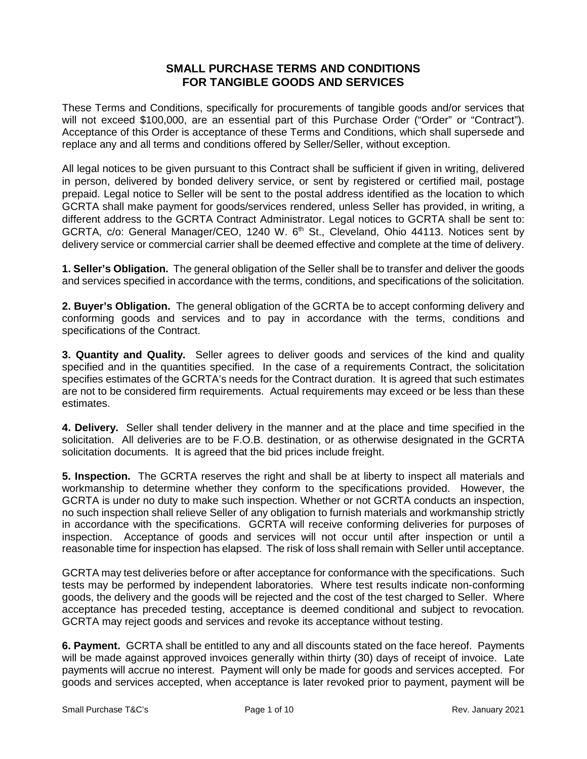## **SMALL PURCHASE TERMS AND CONDITIONS FOR TANGIBLE GOODS AND SERVICES**

These Terms and Conditions, specifically for procurements of tangible goods and/or services that will not exceed \$100,000, are an essential part of this Purchase Order ("Order" or "Contract"). Acceptance of this Order is acceptance of these Terms and Conditions, which shall supersede and replace any and all terms and conditions offered by Seller/Seller, without exception.

All legal notices to be given pursuant to this Contract shall be sufficient if given in writing, delivered in person, delivered by bonded delivery service, or sent by registered or certified mail, postage prepaid. Legal notice to Seller will be sent to the postal address identified as the location to which GCRTA shall make payment for goods/services rendered, unless Seller has provided, in writing, a different address to the GCRTA Contract Administrator. Legal notices to GCRTA shall be sent to: GCRTA, c/o: General Manager/CEO, 1240 W. 6<sup>th</sup> St., Cleveland, Ohio 44113. Notices sent by delivery service or commercial carrier shall be deemed effective and complete at the time of delivery.

**1. Seller's Obligation.** The general obligation of the Seller shall be to transfer and deliver the goods and services specified in accordance with the terms, conditions, and specifications of the solicitation.

**2. Buyer's Obligation.** The general obligation of the GCRTA be to accept conforming delivery and conforming goods and services and to pay in accordance with the terms, conditions and specifications of the Contract.

**3. Quantity and Quality.** Seller agrees to deliver goods and services of the kind and quality specified and in the quantities specified. In the case of a requirements Contract, the solicitation specifies estimates of the GCRTA's needs for the Contract duration. It is agreed that such estimates are not to be considered firm requirements. Actual requirements may exceed or be less than these estimates.

**4. Delivery.** Seller shall tender delivery in the manner and at the place and time specified in the solicitation. All deliveries are to be F.O.B. destination, or as otherwise designated in the GCRTA solicitation documents. It is agreed that the bid prices include freight.

**5. Inspection.** The GCRTA reserves the right and shall be at liberty to inspect all materials and workmanship to determine whether they conform to the specifications provided. However, the GCRTA is under no duty to make such inspection. Whether or not GCRTA conducts an inspection, no such inspection shall relieve Seller of any obligation to furnish materials and workmanship strictly in accordance with the specifications. GCRTA will receive conforming deliveries for purposes of inspection. Acceptance of goods and services will not occur until after inspection or until a reasonable time for inspection has elapsed. The risk of loss shall remain with Seller until acceptance.

GCRTA may test deliveries before or after acceptance for conformance with the specifications. Such tests may be performed by independent laboratories. Where test results indicate non-conforming goods, the delivery and the goods will be rejected and the cost of the test charged to Seller. Where acceptance has preceded testing, acceptance is deemed conditional and subject to revocation. GCRTA may reject goods and services and revoke its acceptance without testing.

**6. Payment.** GCRTA shall be entitled to any and all discounts stated on the face hereof. Payments will be made against approved invoices generally within thirty (30) days of receipt of invoice. Late payments will accrue no interest. Payment will only be made for goods and services accepted. For goods and services accepted, when acceptance is later revoked prior to payment, payment will be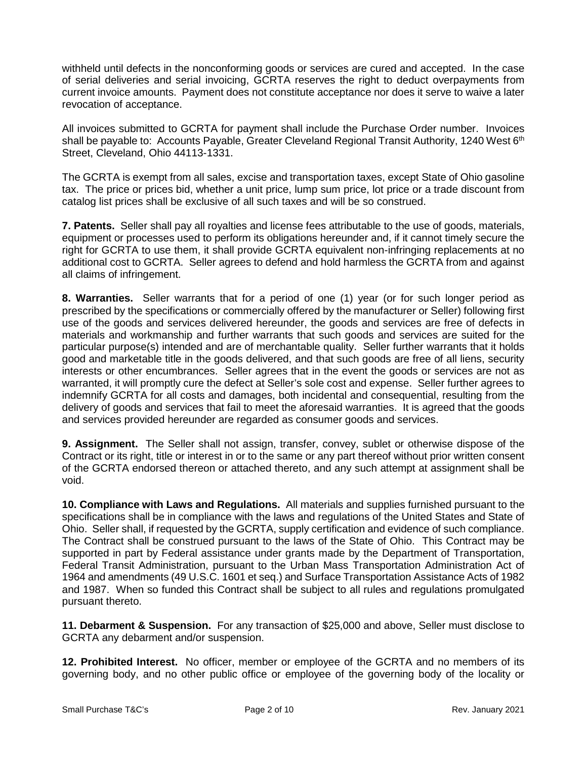withheld until defects in the nonconforming goods or services are cured and accepted. In the case of serial deliveries and serial invoicing, GCRTA reserves the right to deduct overpayments from current invoice amounts. Payment does not constitute acceptance nor does it serve to waive a later revocation of acceptance.

All invoices submitted to GCRTA for payment shall include the Purchase Order number. Invoices shall be payable to: Accounts Payable, Greater Cleveland Regional Transit Authority, 1240 West 6<sup>th</sup> Street, Cleveland, Ohio 44113-1331.

The GCRTA is exempt from all sales, excise and transportation taxes, except State of Ohio gasoline tax. The price or prices bid, whether a unit price, lump sum price, lot price or a trade discount from catalog list prices shall be exclusive of all such taxes and will be so construed.

**7. Patents.** Seller shall pay all royalties and license fees attributable to the use of goods, materials, equipment or processes used to perform its obligations hereunder and, if it cannot timely secure the right for GCRTA to use them, it shall provide GCRTA equivalent non-infringing replacements at no additional cost to GCRTA. Seller agrees to defend and hold harmless the GCRTA from and against all claims of infringement.

**8. Warranties.** Seller warrants that for a period of one (1) year (or for such longer period as prescribed by the specifications or commercially offered by the manufacturer or Seller) following first use of the goods and services delivered hereunder, the goods and services are free of defects in materials and workmanship and further warrants that such goods and services are suited for the particular purpose(s) intended and are of merchantable quality. Seller further warrants that it holds good and marketable title in the goods delivered, and that such goods are free of all liens, security interests or other encumbrances. Seller agrees that in the event the goods or services are not as warranted, it will promptly cure the defect at Seller's sole cost and expense. Seller further agrees to indemnify GCRTA for all costs and damages, both incidental and consequential, resulting from the delivery of goods and services that fail to meet the aforesaid warranties. It is agreed that the goods and services provided hereunder are regarded as consumer goods and services.

**9. Assignment.** The Seller shall not assign, transfer, convey, sublet or otherwise dispose of the Contract or its right, title or interest in or to the same or any part thereof without prior written consent of the GCRTA endorsed thereon or attached thereto, and any such attempt at assignment shall be void.

**10. Compliance with Laws and Regulations.** All materials and supplies furnished pursuant to the specifications shall be in compliance with the laws and regulations of the United States and State of Ohio. Seller shall, if requested by the GCRTA, supply certification and evidence of such compliance. The Contract shall be construed pursuant to the laws of the State of Ohio. This Contract may be supported in part by Federal assistance under grants made by the Department of Transportation, Federal Transit Administration, pursuant to the Urban Mass Transportation Administration Act of 1964 and amendments (49 U.S.C. 1601 et seq.) and Surface Transportation Assistance Acts of 1982 and 1987. When so funded this Contract shall be subject to all rules and regulations promulgated pursuant thereto.

**11. Debarment & Suspension.** For any transaction of \$25,000 and above, Seller must disclose to GCRTA any debarment and/or suspension.

**12. Prohibited Interest.** No officer, member or employee of the GCRTA and no members of its governing body, and no other public office or employee of the governing body of the locality or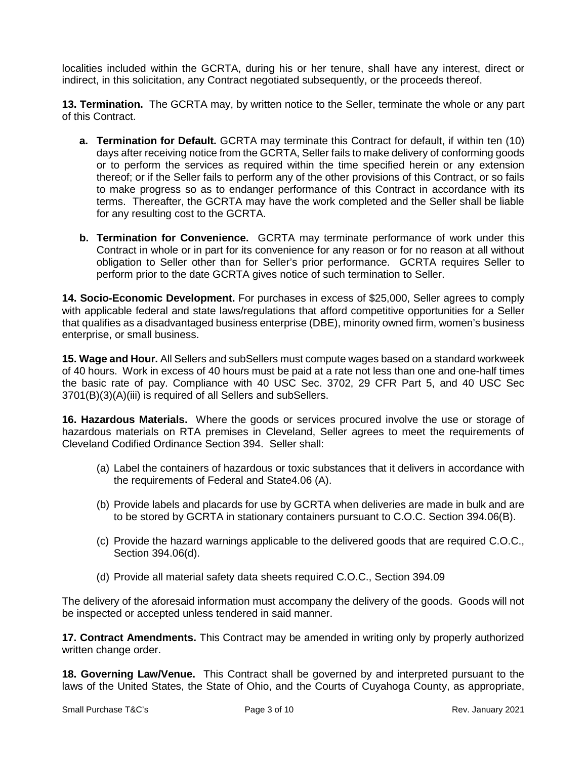localities included within the GCRTA, during his or her tenure, shall have any interest, direct or indirect, in this solicitation, any Contract negotiated subsequently, or the proceeds thereof.

**13. Termination.** The GCRTA may, by written notice to the Seller, terminate the whole or any part of this Contract.

- **a. Termination for Default.** GCRTA may terminate this Contract for default, if within ten (10) days after receiving notice from the GCRTA, Seller fails to make delivery of conforming goods or to perform the services as required within the time specified herein or any extension thereof; or if the Seller fails to perform any of the other provisions of this Contract, or so fails to make progress so as to endanger performance of this Contract in accordance with its terms. Thereafter, the GCRTA may have the work completed and the Seller shall be liable for any resulting cost to the GCRTA.
- **b. Termination for Convenience.** GCRTA may terminate performance of work under this Contract in whole or in part for its convenience for any reason or for no reason at all without obligation to Seller other than for Seller's prior performance. GCRTA requires Seller to perform prior to the date GCRTA gives notice of such termination to Seller.

**14. Socio-Economic Development.** For purchases in excess of \$25,000, Seller agrees to comply with applicable federal and state laws/regulations that afford competitive opportunities for a Seller that qualifies as a disadvantaged business enterprise (DBE), minority owned firm, women's business enterprise, or small business.

**15. Wage and Hour.** All Sellers and subSellers must compute wages based on a standard workweek of 40 hours. Work in excess of 40 hours must be paid at a rate not less than one and one-half times the basic rate of pay. Compliance with 40 USC Sec. 3702, 29 CFR Part 5, and 40 USC Sec 3701(B)(3)(A)(iii) is required of all Sellers and subSellers.

**16. Hazardous Materials.** Where the goods or services procured involve the use or storage of hazardous materials on RTA premises in Cleveland, Seller agrees to meet the requirements of Cleveland Codified Ordinance Section 394. Seller shall:

- (a) Label the containers of hazardous or toxic substances that it delivers in accordance with the requirements of Federal and State4.06 (A).
- (b) Provide labels and placards for use by GCRTA when deliveries are made in bulk and are to be stored by GCRTA in stationary containers pursuant to C.O.C. Section 394.06(B).
- (c) Provide the hazard warnings applicable to the delivered goods that are required C.O.C., Section 394.06(d).
- (d) Provide all material safety data sheets required C.O.C., Section 394.09

The delivery of the aforesaid information must accompany the delivery of the goods. Goods will not be inspected or accepted unless tendered in said manner.

**17. Contract Amendments.** This Contract may be amended in writing only by properly authorized written change order.

**18. Governing Law/Venue.** This Contract shall be governed by and interpreted pursuant to the laws of the United States, the State of Ohio, and the Courts of Cuyahoga County, as appropriate,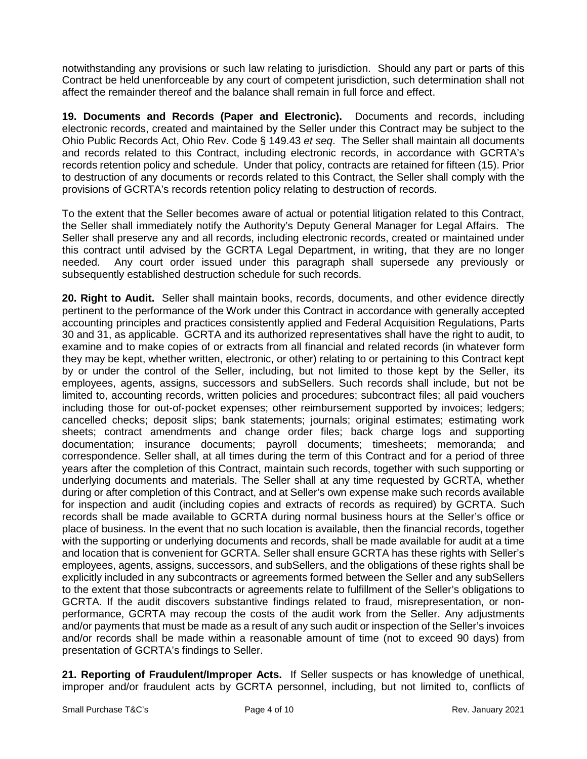notwithstanding any provisions or such law relating to jurisdiction. Should any part or parts of this Contract be held unenforceable by any court of competent jurisdiction, such determination shall not affect the remainder thereof and the balance shall remain in full force and effect.

**19. Documents and Records (Paper and Electronic).** Documents and records, including electronic records, created and maintained by the Seller under this Contract may be subject to the Ohio Public Records Act, Ohio Rev. Code § 149.43 *et seq*. The Seller shall maintain all documents and records related to this Contract, including electronic records, in accordance with GCRTA's records retention policy and schedule. Under that policy, contracts are retained for fifteen (15). Prior to destruction of any documents or records related to this Contract, the Seller shall comply with the provisions of GCRTA's records retention policy relating to destruction of records.

To the extent that the Seller becomes aware of actual or potential litigation related to this Contract, the Seller shall immediately notify the Authority's Deputy General Manager for Legal Affairs. The Seller shall preserve any and all records, including electronic records, created or maintained under this contract until advised by the GCRTA Legal Department, in writing, that they are no longer needed. Any court order issued under this paragraph shall supersede any previously or subsequently established destruction schedule for such records.

**20. Right to Audit.** Seller shall maintain books, records, documents, and other evidence directly pertinent to the performance of the Work under this Contract in accordance with generally accepted accounting principles and practices consistently applied and Federal Acquisition Regulations, Parts 30 and 31, as applicable. GCRTA and its authorized representatives shall have the right to audit, to examine and to make copies of or extracts from all financial and related records (in whatever form they may be kept, whether written, electronic, or other) relating to or pertaining to this Contract kept by or under the control of the Seller, including, but not limited to those kept by the Seller, its employees, agents, assigns, successors and subSellers. Such records shall include, but not be limited to, accounting records, written policies and procedures; subcontract files; all paid vouchers including those for out‐of‐pocket expenses; other reimbursement supported by invoices; ledgers; cancelled checks; deposit slips; bank statements; journals; original estimates; estimating work sheets; contract amendments and change order files; back charge logs and supporting documentation; insurance documents; payroll documents; timesheets; memoranda; and correspondence. Seller shall, at all times during the term of this Contract and for a period of three years after the completion of this Contract, maintain such records, together with such supporting or underlying documents and materials. The Seller shall at any time requested by GCRTA, whether during or after completion of this Contract, and at Seller's own expense make such records available for inspection and audit (including copies and extracts of records as required) by GCRTA. Such records shall be made available to GCRTA during normal business hours at the Seller's office or place of business. In the event that no such location is available, then the financial records, together with the supporting or underlying documents and records, shall be made available for audit at a time and location that is convenient for GCRTA. Seller shall ensure GCRTA has these rights with Seller's employees, agents, assigns, successors, and subSellers, and the obligations of these rights shall be explicitly included in any subcontracts or agreements formed between the Seller and any subSellers to the extent that those subcontracts or agreements relate to fulfillment of the Seller's obligations to GCRTA. If the audit discovers substantive findings related to fraud, misrepresentation, or non‐ performance, GCRTA may recoup the costs of the audit work from the Seller. Any adjustments and/or payments that must be made as a result of any such audit or inspection of the Seller's invoices and/or records shall be made within a reasonable amount of time (not to exceed 90 days) from presentation of GCRTA's findings to Seller.

**21. Reporting of Fraudulent/Improper Acts.** If Seller suspects or has knowledge of unethical, improper and/or fraudulent acts by GCRTA personnel, including, but not limited to, conflicts of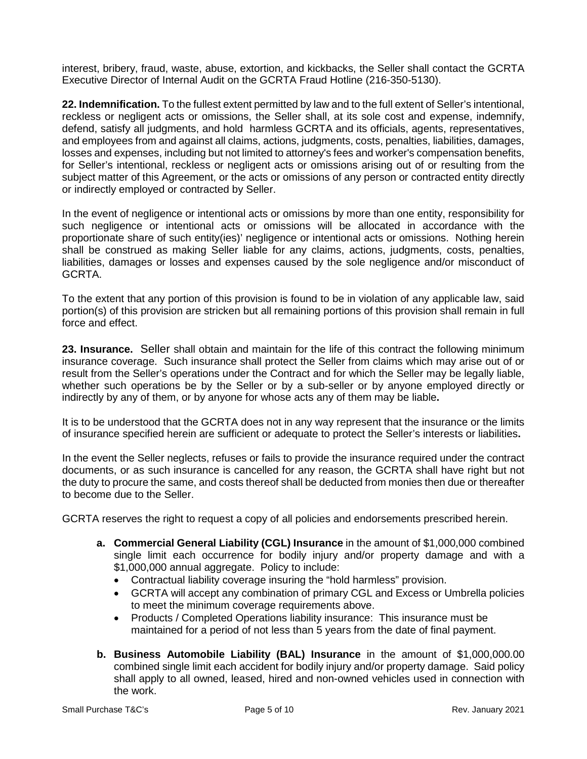interest, bribery, fraud, waste, abuse, extortion, and kickbacks, the Seller shall contact the GCRTA Executive Director of Internal Audit on the GCRTA Fraud Hotline (216-350-5130).

**22. Indemnification.** To the fullest extent permitted by law and to the full extent of Seller's intentional, reckless or negligent acts or omissions, the Seller shall, at its sole cost and expense, indemnify, defend, satisfy all judgments, and hold harmless GCRTA and its officials, agents, representatives, and employees from and against all claims, actions, judgments, costs, penalties, liabilities, damages, losses and expenses, including but not limited to attorney's fees and worker's compensation benefits, for Seller's intentional, reckless or negligent acts or omissions arising out of or resulting from the subject matter of this Agreement, or the acts or omissions of any person or contracted entity directly or indirectly employed or contracted by Seller.

In the event of negligence or intentional acts or omissions by more than one entity, responsibility for such negligence or intentional acts or omissions will be allocated in accordance with the proportionate share of such entity(ies)' negligence or intentional acts or omissions. Nothing herein shall be construed as making Seller liable for any claims, actions, judgments, costs, penalties, liabilities, damages or losses and expenses caused by the sole negligence and/or misconduct of GCRTA.

To the extent that any portion of this provision is found to be in violation of any applicable law, said portion(s) of this provision are stricken but all remaining portions of this provision shall remain in full force and effect.

**23. Insurance.** Seller shall obtain and maintain for the life of this contract the following minimum insurance coverage. Such insurance shall protect the Seller from claims which may arise out of or result from the Seller's operations under the Contract and for which the Seller may be legally liable, whether such operations be by the Seller or by a sub-seller or by anyone employed directly or indirectly by any of them, or by anyone for whose acts any of them may be liable**.** 

It is to be understood that the GCRTA does not in any way represent that the insurance or the limits of insurance specified herein are sufficient or adequate to protect the Seller's interests or liabilities**.** 

In the event the Seller neglects, refuses or fails to provide the insurance required under the contract documents, or as such insurance is cancelled for any reason, the GCRTA shall have right but not the duty to procure the same, and costs thereof shall be deducted from monies then due or thereafter to become due to the Seller.

GCRTA reserves the right to request a copy of all policies and endorsements prescribed herein.

- **a. Commercial General Liability (CGL) Insurance** in the amount of \$1,000,000 combined single limit each occurrence for bodily injury and/or property damage and with a \$1,000,000 annual aggregate. Policy to include:
	- Contractual liability coverage insuring the "hold harmless" provision.
	- GCRTA will accept any combination of primary CGL and Excess or Umbrella policies to meet the minimum coverage requirements above.
	- Products / Completed Operations liability insurance: This insurance must be maintained for a period of not less than 5 years from the date of final payment.
- **b. Business Automobile Liability (BAL) Insurance** in the amount of \$1,000,000.00 combined single limit each accident for bodily injury and/or property damage. Said policy shall apply to all owned, leased, hired and non-owned vehicles used in connection with the work.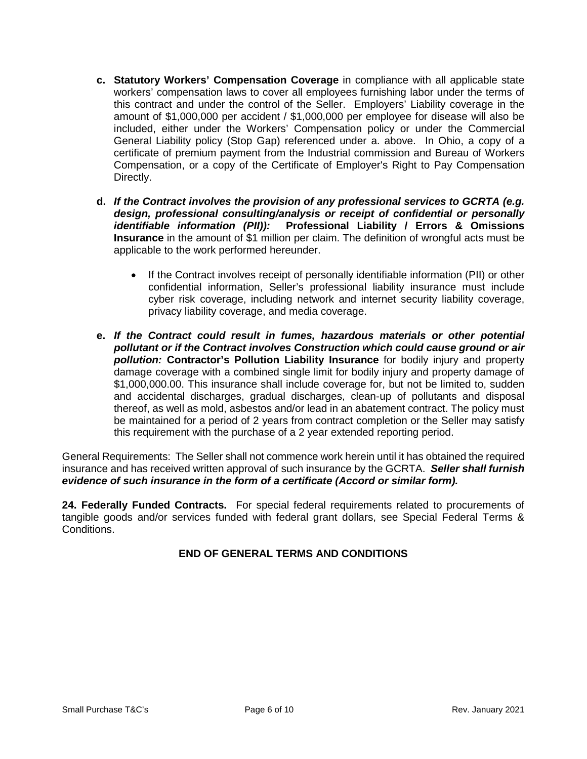- **c. Statutory Workers' Compensation Coverage** in compliance with all applicable state workers' compensation laws to cover all employees furnishing labor under the terms of this contract and under the control of the Seller. Employers' Liability coverage in the amount of \$1,000,000 per accident / \$1,000,000 per employee for disease will also be included, either under the Workers' Compensation policy or under the Commercial General Liability policy (Stop Gap) referenced under a. above. In Ohio, a copy of a certificate of premium payment from the Industrial commission and Bureau of Workers Compensation, or a copy of the Certificate of Employer's Right to Pay Compensation Directly.
- **d.** *If the Contract involves the provision of any professional services to GCRTA (e.g. design, professional consulting/analysis or receipt of confidential or personally identifiable information (PII)):* **Professional Liability / Errors & Omissions Insurance** in the amount of \$1 million per claim. The definition of wrongful acts must be applicable to the work performed hereunder.
	- If the Contract involves receipt of personally identifiable information (PII) or other confidential information, Seller's professional liability insurance must include cyber risk coverage, including network and internet security liability coverage, privacy liability coverage, and media coverage.
- **e.** *If the Contract could result in fumes, hazardous materials or other potential pollutant or if the Contract involves Construction which could cause ground or air pollution:* **Contractor's Pollution Liability Insurance** for bodily injury and property damage coverage with a combined single limit for bodily injury and property damage of \$1,000,000.00. This insurance shall include coverage for, but not be limited to, sudden and accidental discharges, gradual discharges, clean-up of pollutants and disposal thereof, as well as mold, asbestos and/or lead in an abatement contract. The policy must be maintained for a period of 2 years from contract completion or the Seller may satisfy this requirement with the purchase of a 2 year extended reporting period.

General Requirements: The Seller shall not commence work herein until it has obtained the required insurance and has received written approval of such insurance by the GCRTA. *Seller shall furnish evidence of such insurance in the form of a certificate (Accord or similar form).*

**24. Federally Funded Contracts.** For special federal requirements related to procurements of tangible goods and/or services funded with federal grant dollars, see Special Federal Terms & **Conditions** 

## **END OF GENERAL TERMS AND CONDITIONS**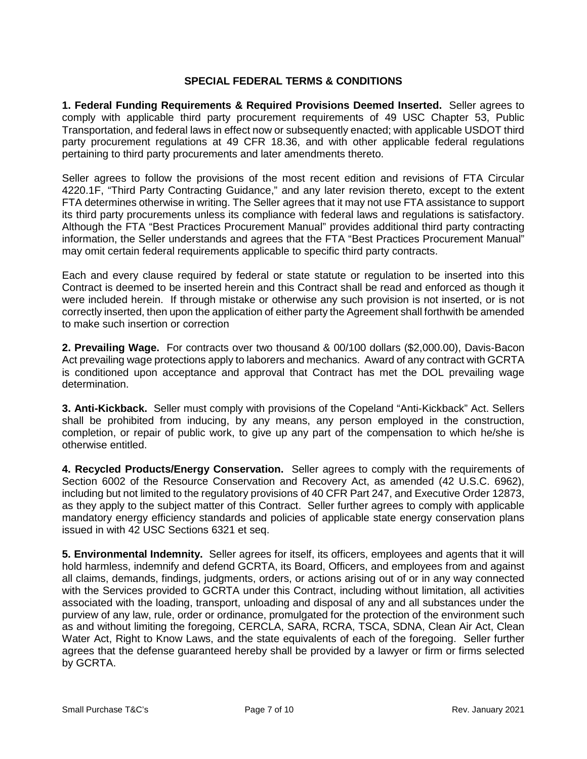## **SPECIAL FEDERAL TERMS & CONDITIONS**

**1. Federal Funding Requirements & Required Provisions Deemed Inserted.** Seller agrees to comply with applicable third party procurement requirements of 49 USC Chapter 53, Public Transportation, and federal laws in effect now or subsequently enacted; with applicable USDOT third party procurement regulations at 49 CFR 18.36, and with other applicable federal regulations pertaining to third party procurements and later amendments thereto.

Seller agrees to follow the provisions of the most recent edition and revisions of FTA Circular 4220.1F, "Third Party Contracting Guidance," and any later revision thereto, except to the extent FTA determines otherwise in writing. The Seller agrees that it may not use FTA assistance to support its third party procurements unless its compliance with federal laws and regulations is satisfactory. Although the FTA "Best Practices Procurement Manual" provides additional third party contracting information, the Seller understands and agrees that the FTA "Best Practices Procurement Manual" may omit certain federal requirements applicable to specific third party contracts.

Each and every clause required by federal or state statute or regulation to be inserted into this Contract is deemed to be inserted herein and this Contract shall be read and enforced as though it were included herein. If through mistake or otherwise any such provision is not inserted, or is not correctly inserted, then upon the application of either party the Agreement shall forthwith be amended to make such insertion or correction

**2. Prevailing Wage.** For contracts over two thousand & 00/100 dollars (\$2,000.00), Davis-Bacon Act prevailing wage protections apply to laborers and mechanics. Award of any contract with GCRTA is conditioned upon acceptance and approval that Contract has met the DOL prevailing wage determination.

**3. Anti-Kickback.** Seller must comply with provisions of the Copeland "Anti-Kickback" Act. Sellers shall be prohibited from inducing, by any means, any person employed in the construction, completion, or repair of public work, to give up any part of the compensation to which he/she is otherwise entitled.

**4. Recycled Products/Energy Conservation.** Seller agrees to comply with the requirements of Section 6002 of the Resource Conservation and Recovery Act, as amended (42 U.S.C. 6962), including but not limited to the regulatory provisions of 40 CFR Part 247, and Executive Order 12873, as they apply to the subject matter of this Contract. Seller further agrees to comply with applicable mandatory energy efficiency standards and policies of applicable state energy conservation plans issued in with 42 USC Sections 6321 et seq.

**5. Environmental Indemnity.** Seller agrees for itself, its officers, employees and agents that it will hold harmless, indemnify and defend GCRTA, its Board, Officers, and employees from and against all claims, demands, findings, judgments, orders, or actions arising out of or in any way connected with the Services provided to GCRTA under this Contract, including without limitation, all activities associated with the loading, transport, unloading and disposal of any and all substances under the purview of any law, rule, order or ordinance, promulgated for the protection of the environment such as and without limiting the foregoing, CERCLA, SARA, RCRA, TSCA, SDNA, Clean Air Act, Clean Water Act, Right to Know Laws, and the state equivalents of each of the foregoing. Seller further agrees that the defense guaranteed hereby shall be provided by a lawyer or firm or firms selected by GCRTA.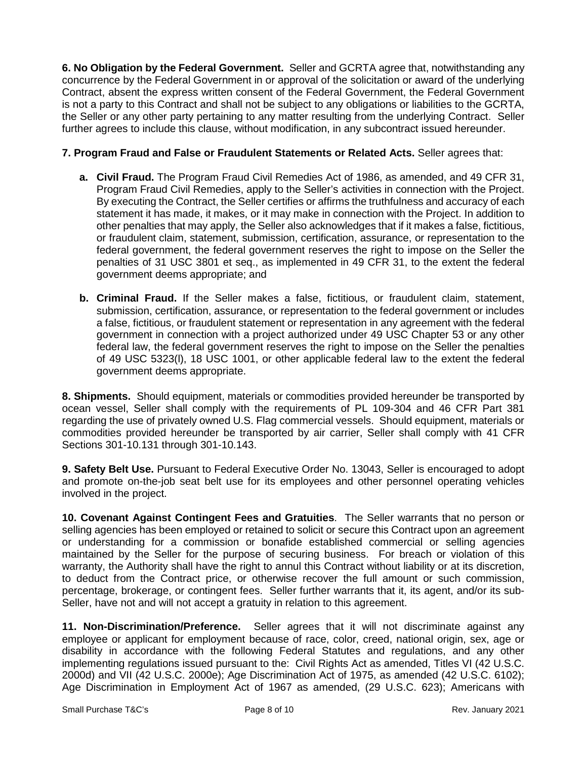**6. No Obligation by the Federal Government.** Seller and GCRTA agree that, notwithstanding any concurrence by the Federal Government in or approval of the solicitation or award of the underlying Contract, absent the express written consent of the Federal Government, the Federal Government is not a party to this Contract and shall not be subject to any obligations or liabilities to the GCRTA, the Seller or any other party pertaining to any matter resulting from the underlying Contract. Seller further agrees to include this clause, without modification, in any subcontract issued hereunder.

## **7. Program Fraud and False or Fraudulent Statements or Related Acts.** Seller agrees that:

- **a. Civil Fraud.** The Program Fraud Civil Remedies Act of 1986, as amended, and 49 CFR 31, Program Fraud Civil Remedies, apply to the Seller's activities in connection with the Project. By executing the Contract, the Seller certifies or affirms the truthfulness and accuracy of each statement it has made, it makes, or it may make in connection with the Project. In addition to other penalties that may apply, the Seller also acknowledges that if it makes a false, fictitious, or fraudulent claim, statement, submission, certification, assurance, or representation to the federal government, the federal government reserves the right to impose on the Seller the penalties of 31 USC 3801 et seq., as implemented in 49 CFR 31, to the extent the federal government deems appropriate; and
- **b. Criminal Fraud.** If the Seller makes a false, fictitious, or fraudulent claim, statement, submission, certification, assurance, or representation to the federal government or includes a false, fictitious, or fraudulent statement or representation in any agreement with the federal government in connection with a project authorized under 49 USC Chapter 53 or any other federal law, the federal government reserves the right to impose on the Seller the penalties of 49 USC 5323(l), 18 USC 1001, or other applicable federal law to the extent the federal government deems appropriate.

**8. Shipments.** Should equipment, materials or commodities provided hereunder be transported by ocean vessel, Seller shall comply with the requirements of PL 109-304 and 46 CFR Part 381 regarding the use of privately owned U.S. Flag commercial vessels. Should equipment, materials or commodities provided hereunder be transported by air carrier, Seller shall comply with 41 CFR Sections 301-10.131 through 301-10.143.

**9. Safety Belt Use.** Pursuant to Federal Executive Order No. 13043, Seller is encouraged to adopt and promote on-the-job seat belt use for its employees and other personnel operating vehicles involved in the project.

**10. Covenant Against Contingent Fees and Gratuities**. The Seller warrants that no person or selling agencies has been employed or retained to solicit or secure this Contract upon an agreement or understanding for a commission or bonafide established commercial or selling agencies maintained by the Seller for the purpose of securing business. For breach or violation of this warranty, the Authority shall have the right to annul this Contract without liability or at its discretion, to deduct from the Contract price, or otherwise recover the full amount or such commission, percentage, brokerage, or contingent fees. Seller further warrants that it, its agent, and/or its sub-Seller, have not and will not accept a gratuity in relation to this agreement.

**11. Non-Discrimination/Preference.** Seller agrees that it will not discriminate against any employee or applicant for employment because of race, color, creed, national origin, sex, age or disability in accordance with the following Federal Statutes and regulations, and any other implementing regulations issued pursuant to the: Civil Rights Act as amended, Titles VI (42 U.S.C. 2000d) and VII (42 U.S.C. 2000e); Age Discrimination Act of 1975, as amended (42 U.S.C. 6102); Age Discrimination in Employment Act of 1967 as amended, (29 U.S.C. 623); Americans with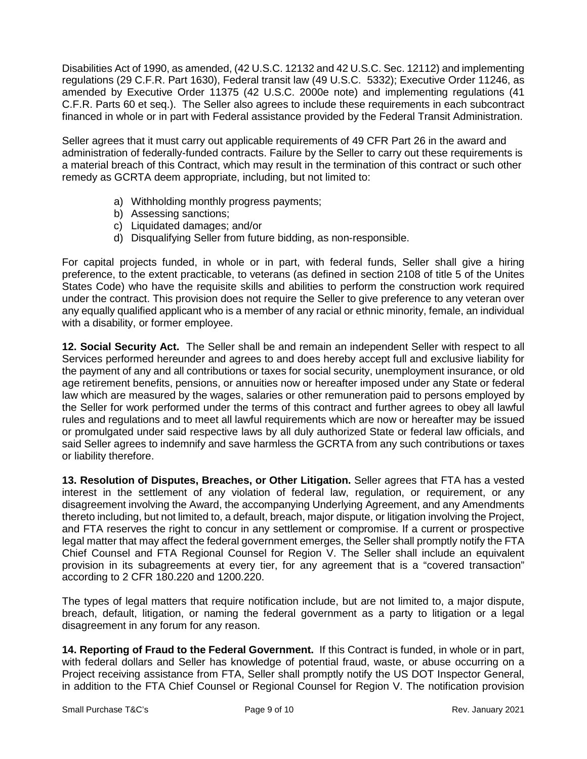Disabilities Act of 1990, as amended, (42 U.S.C. 12132 and 42 U.S.C. Sec. 12112) and implementing regulations (29 C.F.R. Part 1630), Federal transit law (49 U.S.C. 5332); Executive Order 11246, as amended by Executive Order 11375 (42 U.S.C. 2000e note) and implementing regulations (41 C.F.R. Parts 60 et seq.). The Seller also agrees to include these requirements in each subcontract financed in whole or in part with Federal assistance provided by the Federal Transit Administration.

Seller agrees that it must carry out applicable requirements of 49 CFR Part 26 in the award and administration of federally-funded contracts. Failure by the Seller to carry out these requirements is a material breach of this Contract, which may result in the termination of this contract or such other remedy as GCRTA deem appropriate, including, but not limited to:

- a) Withholding monthly progress payments;
- b) Assessing sanctions;
- c) Liquidated damages; and/or
- d) Disqualifying Seller from future bidding, as non-responsible.

For capital projects funded, in whole or in part, with federal funds, Seller shall give a hiring preference, to the extent practicable, to veterans (as defined in section 2108 of title 5 of the Unites States Code) who have the requisite skills and abilities to perform the construction work required under the contract. This provision does not require the Seller to give preference to any veteran over any equally qualified applicant who is a member of any racial or ethnic minority, female, an individual with a disability, or former employee.

**12. Social Security Act.** The Seller shall be and remain an independent Seller with respect to all Services performed hereunder and agrees to and does hereby accept full and exclusive liability for the payment of any and all contributions or taxes for social security, unemployment insurance, or old age retirement benefits, pensions, or annuities now or hereafter imposed under any State or federal law which are measured by the wages, salaries or other remuneration paid to persons employed by the Seller for work performed under the terms of this contract and further agrees to obey all lawful rules and regulations and to meet all lawful requirements which are now or hereafter may be issued or promulgated under said respective laws by all duly authorized State or federal law officials, and said Seller agrees to indemnify and save harmless the GCRTA from any such contributions or taxes or liability therefore.

**13. Resolution of Disputes, Breaches, or Other Litigation.** Seller agrees that FTA has a vested interest in the settlement of any violation of federal law, regulation, or requirement, or any disagreement involving the Award, the accompanying Underlying Agreement, and any Amendments thereto including, but not limited to, a default, breach, major dispute, or litigation involving the Project, and FTA reserves the right to concur in any settlement or compromise. If a current or prospective legal matter that may affect the federal government emerges, the Seller shall promptly notify the FTA Chief Counsel and FTA Regional Counsel for Region V. The Seller shall include an equivalent provision in its subagreements at every tier, for any agreement that is a "covered transaction" according to 2 CFR 180.220 and 1200.220.

The types of legal matters that require notification include, but are not limited to, a major dispute, breach, default, litigation, or naming the federal government as a party to litigation or a legal disagreement in any forum for any reason.

**14. Reporting of Fraud to the Federal Government.** If this Contract is funded, in whole or in part, with federal dollars and Seller has knowledge of potential fraud, waste, or abuse occurring on a Project receiving assistance from FTA, Seller shall promptly notify the US DOT Inspector General, in addition to the FTA Chief Counsel or Regional Counsel for Region V. The notification provision